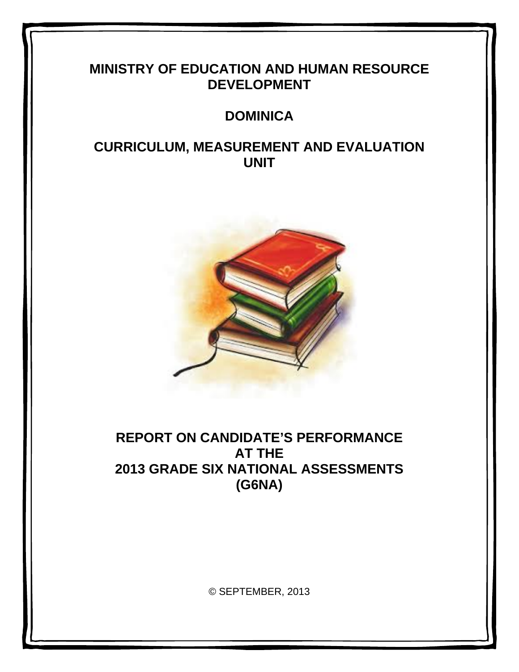# **MINISTRY OF EDUCATION AND HUMAN RESOURCE DEVELOPMENT**

# **DOMINICA**

# **CURRICULUM, MEASUREMENT AND EVALUATION UNIT**



# **REPORT ON CANDIDATE'S PERFORMANCE AT THE 2013 GRADE SIX NATIONAL ASSESSMENTS (G6NA)**

© SEPTEMBER, 2013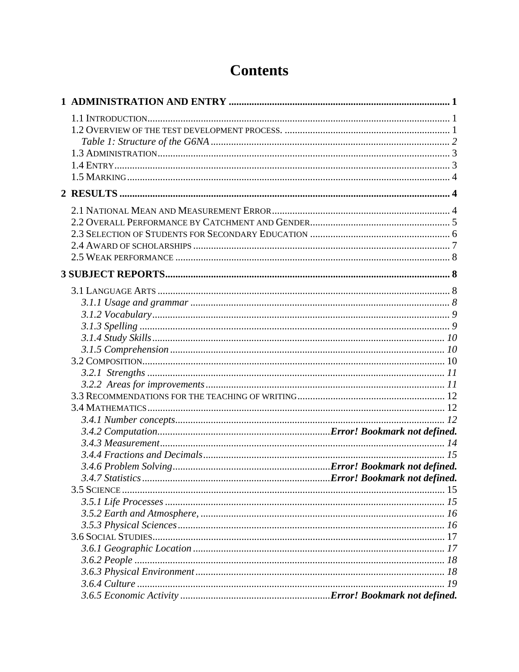# **Contents**

|  | 19 |
|--|----|
|  |    |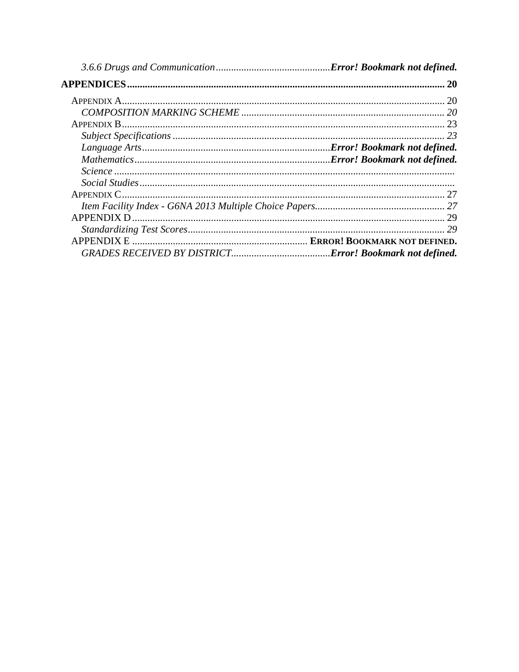| 29 |
|----|
|    |
|    |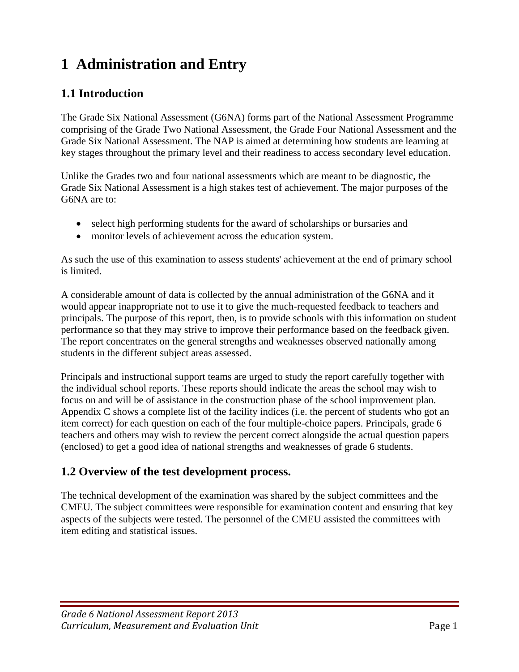# **1 Administration and Entry**

## **1.1 Introduction**

The Grade Six National Assessment (G6NA) forms part of the National Assessment Programme comprising of the Grade Two National Assessment, the Grade Four National Assessment and the Grade Six National Assessment. The NAP is aimed at determining how students are learning at key stages throughout the primary level and their readiness to access secondary level education.

Unlike the Grades two and four national assessments which are meant to be diagnostic, the Grade Six National Assessment is a high stakes test of achievement. The major purposes of the G6NA are to:

- select high performing students for the award of scholarships or bursaries and
- monitor levels of achievement across the education system.

As such the use of this examination to assess students' achievement at the end of primary school is limited.

A considerable amount of data is collected by the annual administration of the G6NA and it would appear inappropriate not to use it to give the much-requested feedback to teachers and principals. The purpose of this report, then, is to provide schools with this information on student performance so that they may strive to improve their performance based on the feedback given. The report concentrates on the general strengths and weaknesses observed nationally among students in the different subject areas assessed.

Principals and instructional support teams are urged to study the report carefully together with the individual school reports. These reports should indicate the areas the school may wish to focus on and will be of assistance in the construction phase of the school improvement plan. Appendix C shows a complete list of the facility indices (i.e. the percent of students who got an item correct) for each question on each of the four multiple-choice papers. Principals, grade 6 teachers and others may wish to review the percent correct alongside the actual question papers (enclosed) to get a good idea of national strengths and weaknesses of grade 6 students.

## **1.2 Overview of the test development process.**

The technical development of the examination was shared by the subject committees and the CMEU. The subject committees were responsible for examination content and ensuring that key aspects of the subjects were tested. The personnel of the CMEU assisted the committees with item editing and statistical issues.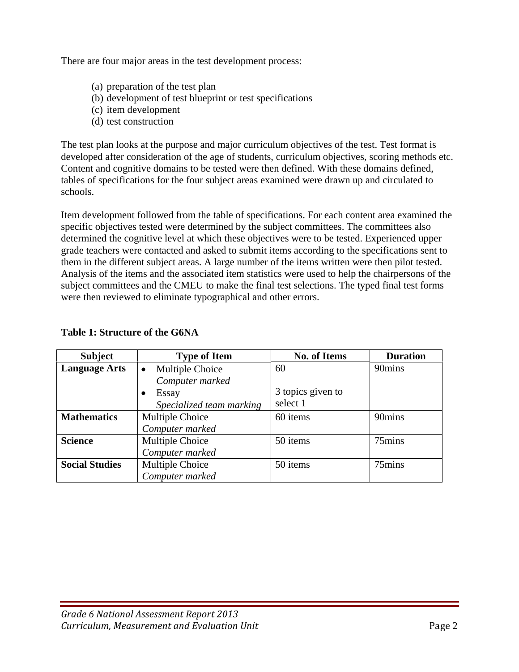There are four major areas in the test development process:

- (a) preparation of the test plan
- (b) development of test blueprint or test specifications
- (c) item development
- (d) test construction

The test plan looks at the purpose and major curriculum objectives of the test. Test format is developed after consideration of the age of students, curriculum objectives, scoring methods etc. Content and cognitive domains to be tested were then defined. With these domains defined, tables of specifications for the four subject areas examined were drawn up and circulated to schools.

Item development followed from the table of specifications. For each content area examined the specific objectives tested were determined by the subject committees. The committees also determined the cognitive level at which these objectives were to be tested. Experienced upper grade teachers were contacted and asked to submit items according to the specifications sent to them in the different subject areas. A large number of the items written were then pilot tested. Analysis of the items and the associated item statistics were used to help the chairpersons of the subject committees and the CMEU to make the final test selections. The typed final test forms were then reviewed to eliminate typographical and other errors.

| <b>Subject</b>        | <b>Type of Item</b>          | <b>No. of Items</b> | <b>Duration</b> |
|-----------------------|------------------------------|---------------------|-----------------|
| <b>Language Arts</b>  | Multiple Choice<br>$\bullet$ | 60                  | 90mins          |
|                       | Computer marked              |                     |                 |
|                       | Essay                        | 3 topics given to   |                 |
|                       | Specialized team marking     | select 1            |                 |
| <b>Mathematics</b>    | Multiple Choice              | 60 items            | 90mins          |
|                       | Computer marked              |                     |                 |
| <b>Science</b>        | Multiple Choice              | 50 items            | 75mins          |
|                       | Computer marked              |                     |                 |
| <b>Social Studies</b> | Multiple Choice              | 50 items            | 75mins          |
|                       | Computer marked              |                     |                 |

#### **Table 1: Structure of the G6NA**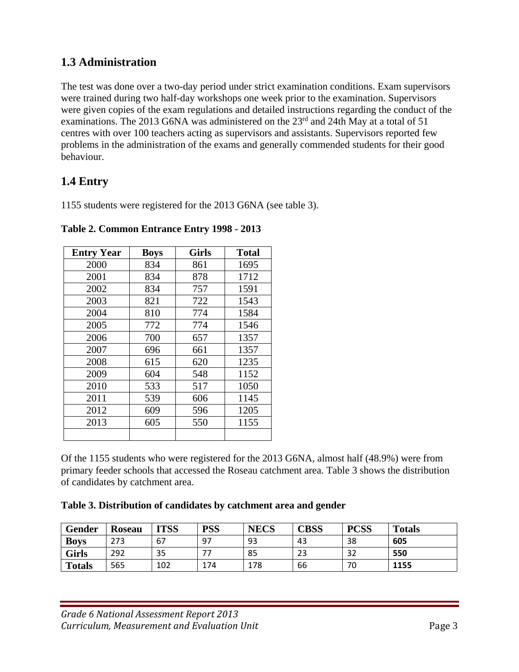# **1.3 Administration**

The test was done over a two-day period under strict examination conditions. Exam supervisors were trained during two half-day workshops one week prior to the examination. Supervisors were given copies of the exam regulations and detailed instructions regarding the conduct of the examinations. The 2013 G6NA was administered on the 23<sup>rd</sup> and 24th May at a total of 51 centres with over 100 teachers acting as supervisors and assistants. Supervisors reported few problems in the administration of the exams and generally commended students for their good behaviour.

## **1.4 Entry**

1155 students were registered for the 2013 G6NA (see table 3).

| <b>Entry Year</b> | <b>Boys</b> | <b>Girls</b> | <b>Total</b> |
|-------------------|-------------|--------------|--------------|
| 2000              | 834         | 861          | 1695         |
| 2001              | 834         | 878          | 1712         |
| 2002              | 834         | 757          | 1591         |
| 2003              | 821         | 722          | 1543         |
| 2004              | 810         | 774          | 1584         |
| 2005              | 772         | 774          | 1546         |
| 2006              | 700         | 657          | 1357         |
| 2007              | 696         | 661          | 1357         |
| 2008              | 615         | 620          | 1235         |
| 2009              | 604         | 548          | 1152         |
| 2010              | 533         | 517          | 1050         |
| 2011              | 539         | 606          | 1145         |
| 2012              | 609         | 596          | 1205         |
| 2013              | 605         | 550          | 1155         |
|                   |             |              |              |

**Table 2. Common Entrance Entry 1998 - 2013** 

Of the 1155 students who were registered for the 2013 G6NA, almost half (48.9%) were from primary feeder schools that accessed the Roseau catchment area. Table 3 shows the distribution of candidates by catchment area.

**Table 3. Distribution of candidates by catchment area and gender** 

| Gender        | <b>Roseau</b> | <b>ITSS</b> | <b>PSS</b> | <b>NECS</b> | CBSS | <b>PCSS</b> | <b>Totals</b> |
|---------------|---------------|-------------|------------|-------------|------|-------------|---------------|
| <b>Boys</b>   | 273           | 67          | 97         | 93          | 43   | 38          | 605           |
| Girls         | 292           | 35          |            | 85          | 23   | 32          | 550           |
| <b>Totals</b> | 565           | 102         | 174        | 178         | 66   | 70          | 1155          |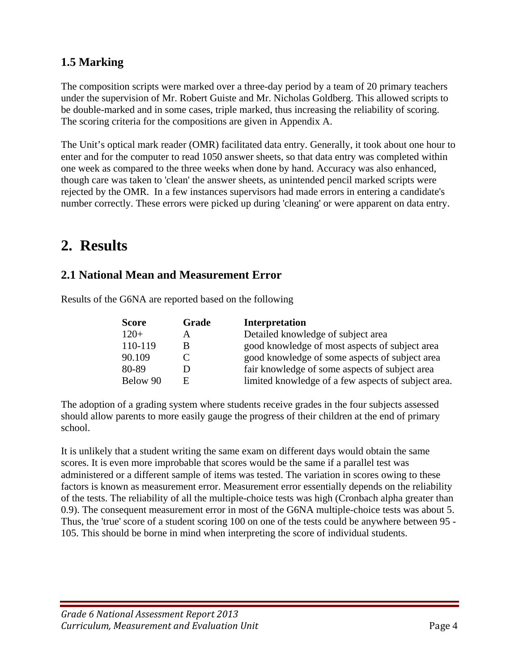# **1.5 Marking**

The composition scripts were marked over a three-day period by a team of 20 primary teachers under the supervision of Mr. Robert Guiste and Mr. Nicholas Goldberg. This allowed scripts to be double-marked and in some cases, triple marked, thus increasing the reliability of scoring. The scoring criteria for the compositions are given in Appendix A.

The Unit's optical mark reader (OMR) facilitated data entry. Generally, it took about one hour to enter and for the computer to read 1050 answer sheets, so that data entry was completed within one week as compared to the three weeks when done by hand. Accuracy was also enhanced, though care was taken to 'clean' the answer sheets, as unintended pencil marked scripts were rejected by the OMR. In a few instances supervisors had made errors in entering a candidate's number correctly. These errors were picked up during 'cleaning' or were apparent on data entry.

# **2. Results**

## **2.1 National Mean and Measurement Error**

| Results of the G6NA are reported based on the following |
|---------------------------------------------------------|
|                                                         |

| <b>Score</b> | Grade | <b>Interpretation</b>                               |
|--------------|-------|-----------------------------------------------------|
| $120+$       | A     | Detailed knowledge of subject area                  |
| 110-119      | B     | good knowledge of most aspects of subject area      |
| 90.109       |       | good knowledge of some aspects of subject area      |
| 80-89        |       | fair knowledge of some aspects of subject area      |
| Below 90     | E     | limited knowledge of a few aspects of subject area. |

The adoption of a grading system where students receive grades in the four subjects assessed should allow parents to more easily gauge the progress of their children at the end of primary school.

It is unlikely that a student writing the same exam on different days would obtain the same scores. It is even more improbable that scores would be the same if a parallel test was administered or a different sample of items was tested. The variation in scores owing to these factors is known as measurement error. Measurement error essentially depends on the reliability of the tests. The reliability of all the multiple-choice tests was high (Cronbach alpha greater than 0.9). The consequent measurement error in most of the G6NA multiple-choice tests was about 5. Thus, the 'true' score of a student scoring 100 on one of the tests could be anywhere between 95 - 105. This should be borne in mind when interpreting the score of individual students.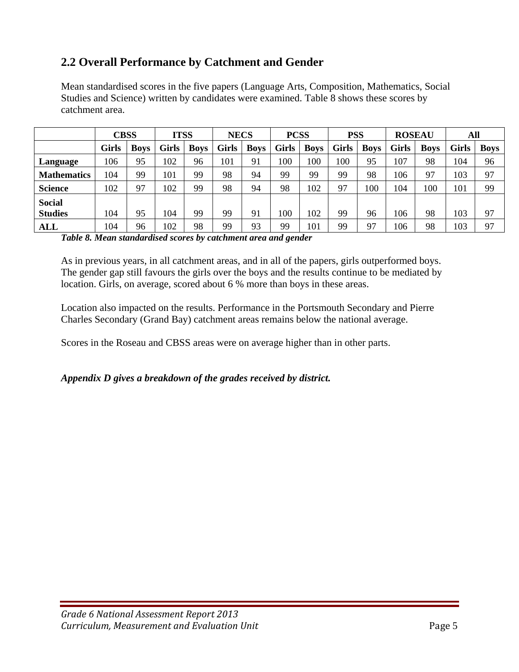# **2.2 Overall Performance by Catchment and Gender**

Mean standardised scores in the five papers (Language Arts, Composition, Mathematics, Social Studies and Science) written by candidates were examined. Table 8 shows these scores by catchment area.

|                    | <b>CBSS</b>  |             | <b>ITSS</b> |             | <b>NECS</b> |             | <b>PCSS</b> |             | <b>PSS</b>   |             | <b>ROSEAU</b> |             | All   |             |
|--------------------|--------------|-------------|-------------|-------------|-------------|-------------|-------------|-------------|--------------|-------------|---------------|-------------|-------|-------------|
|                    | <b>Girls</b> | <b>Boys</b> | Girls       | <b>Boys</b> | Girls       | <b>Boys</b> | Girls       | <b>Boys</b> | <b>Girls</b> | <b>Boys</b> | <b>Girls</b>  | <b>Boys</b> | Girls | <b>Boys</b> |
| Language           | 106          | 95          | 102         | 96          | 101         | 91          | 100         | 100         | 100          | 95          | 107           | 98          | 104   | 96          |
| <b>Mathematics</b> | 104          | 99          | 101         | 99          | 98          | 94          | 99          | 99          | 99           | 98          | 106           | 97          | 103   | 97          |
| <b>Science</b>     | 102          | 97          | 102         | 99          | 98          | 94          | 98          | 102         | 97           | 100         | 104           | 100         | 101   | 99          |
| <b>Social</b>      |              |             |             |             |             |             |             |             |              |             |               |             |       |             |
| <b>Studies</b>     | 104          | 95          | 104         | 99          | 99          | 91          | 100         | 102         | 99           | 96          | 106           | 98          | 103   | 97          |
| <b>ALL</b>         | 104          | 96          | 102         | 98          | 99          | 93          | 99          | 101         | 99           | 97          | 106           | 98          | 103   | 97          |

*Table 8. Mean standardised scores by catchment area and gender* 

As in previous years, in all catchment areas, and in all of the papers, girls outperformed boys. The gender gap still favours the girls over the boys and the results continue to be mediated by location. Girls, on average, scored about 6 % more than boys in these areas.

Location also impacted on the results. Performance in the Portsmouth Secondary and Pierre Charles Secondary (Grand Bay) catchment areas remains below the national average.

Scores in the Roseau and CBSS areas were on average higher than in other parts.

#### *Appendix D gives a breakdown of the grades received by district.*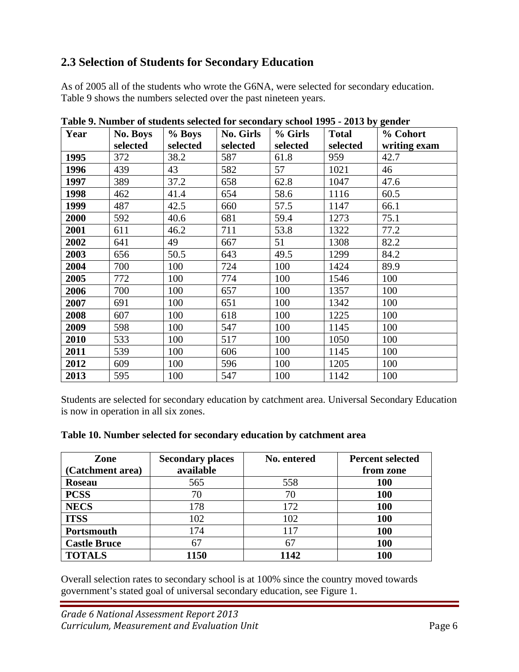# **2.3 Selection of Students for Secondary Education**

As of 2005 all of the students who wrote the G6NA, were selected for secondary education. Table 9 shows the numbers selected over the past nineteen years.

| Year | No. Boys | % Boys   | <b>No. Girls</b> | % Girls  | <b>Total</b> | % Cohort     |
|------|----------|----------|------------------|----------|--------------|--------------|
|      | selected | selected | selected         | selected | selected     | writing exam |
| 1995 | 372      | 38.2     | 587              | 61.8     | 959          | 42.7         |
| 1996 | 439      | 43       | 582              | 57       | 1021         | 46           |
| 1997 | 389      | 37.2     | 658              | 62.8     | 1047         | 47.6         |
| 1998 | 462      | 41.4     | 654              | 58.6     | 1116         | 60.5         |
| 1999 | 487      | 42.5     | 660              | 57.5     | 1147         | 66.1         |
| 2000 | 592      | 40.6     | 681              | 59.4     | 1273         | 75.1         |
| 2001 | 611      | 46.2     | 711              | 53.8     | 1322         | 77.2         |
| 2002 | 641      | 49       | 667              | 51       | 1308         | 82.2         |
| 2003 | 656      | 50.5     | 643              | 49.5     | 1299         | 84.2         |
| 2004 | 700      | 100      | 724              | 100      | 1424         | 89.9         |
| 2005 | 772      | 100      | 774              | 100      | 1546         | 100          |
| 2006 | 700      | 100      | 657              | 100      | 1357         | 100          |
| 2007 | 691      | 100      | 651              | 100      | 1342         | 100          |
| 2008 | 607      | 100      | 618              | 100      | 1225         | 100          |
| 2009 | 598      | 100      | 547              | 100      | 1145         | 100          |
| 2010 | 533      | 100      | 517              | 100      | 1050         | 100          |
| 2011 | 539      | 100      | 606              | 100      | 1145         | 100          |
| 2012 | 609      | 100      | 596              | 100      | 1205         | 100          |
| 2013 | 595      | 100      | 547              | 100      | 1142         | 100          |

**Table 9. Number of students selected for secondary school 1995 - 2013 by gender** 

Students are selected for secondary education by catchment area. Universal Secondary Education is now in operation in all six zones.

| Zone<br>(Catchment area) | <b>Secondary places</b><br>available | No. entered | <b>Percent selected</b><br>from zone |
|--------------------------|--------------------------------------|-------------|--------------------------------------|
| <b>Roseau</b>            | 565                                  | 558         | <b>100</b>                           |
| <b>PCSS</b>              | 70                                   | 70          | 100                                  |
| <b>NECS</b>              | 178                                  | 172         | 100                                  |
| <b>ITSS</b>              | 102                                  | 102         | 100                                  |
| Portsmouth               | 174                                  | 117         | 100                                  |
| <b>Castle Bruce</b>      | 67                                   | 67          | 100                                  |
| <b>TOTALS</b>            | 1150                                 | 1142        | 100                                  |

Overall selection rates to secondary school is at 100% since the country moved towards government's stated goal of universal secondary education, see Figure 1.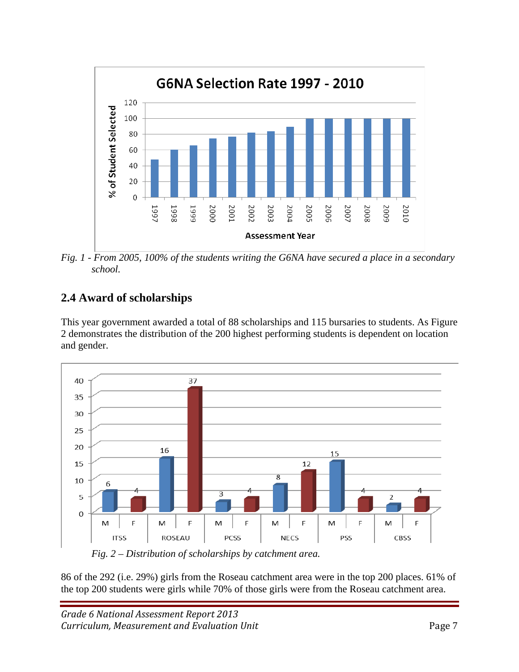

*Fig. 1 - From 2005, 100% of the students writing the G6NA have secured a place in a secondary school.* 

# **2.4 Award of scholarships**

This year government awarded a total of 88 scholarships and 115 bursaries to students. As Figure 2 demonstrates the distribution of the 200 highest performing students is dependent on location and gender.



 *Fig. 2 – Distribution of scholarships by catchment area.* 

86 of the 292 (i.e. 29%) girls from the Roseau catchment area were in the top 200 places. 61% of the top 200 students were girls while 70% of those girls were from the Roseau catchment area.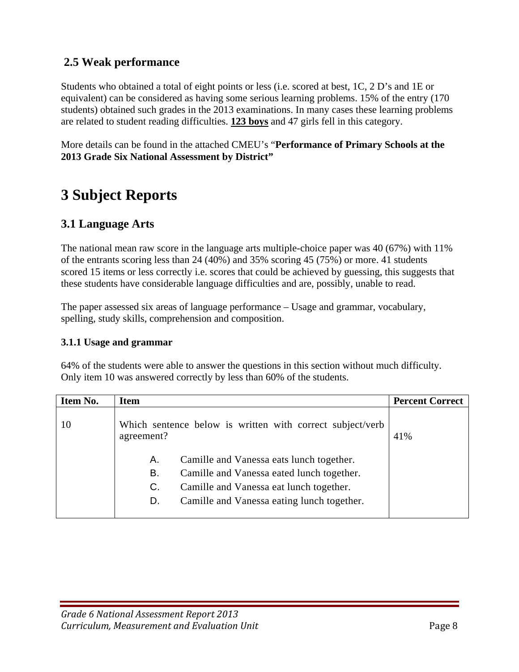## **2.5 Weak performance**

Students who obtained a total of eight points or less (i.e. scored at best, 1C, 2 D's and 1E or equivalent) can be considered as having some serious learning problems. 15% of the entry (170 students) obtained such grades in the 2013 examinations. In many cases these learning problems are related to student reading difficulties. **123 boys** and 47 girls fell in this category.

More details can be found in the attached CMEU's "**Performance of Primary Schools at the 2013 Grade Six National Assessment by District"** 

# **3 Subject Reports**

## **3.1 Language Arts**

The national mean raw score in the language arts multiple-choice paper was 40 (67%) with 11% of the entrants scoring less than 24 (40%) and 35% scoring 45 (75%) or more. 41 students scored 15 items or less correctly i.e. scores that could be achieved by guessing, this suggests that these students have considerable language difficulties and are, possibly, unable to read.

The paper assessed six areas of language performance – Usage and grammar, vocabulary, spelling, study skills, comprehension and composition.

#### **3.1.1 Usage and grammar**

64% of the students were able to answer the questions in this section without much difficulty. Only item 10 was answered correctly by less than 60% of the students.

| Item No. | <b>Item</b>                                                             | <b>Percent Correct</b> |
|----------|-------------------------------------------------------------------------|------------------------|
| 10       | Which sentence below is written with correct subject/verb<br>agreement? | 41%                    |
|          | Camille and Vanessa eats lunch together.<br>Α.                          |                        |
|          | Camille and Vanessa eated lunch together.<br>В.                         |                        |
|          | Camille and Vanessa eat lunch together.<br>C.                           |                        |
|          | Camille and Vanessa eating lunch together.<br>D.                        |                        |
|          |                                                                         |                        |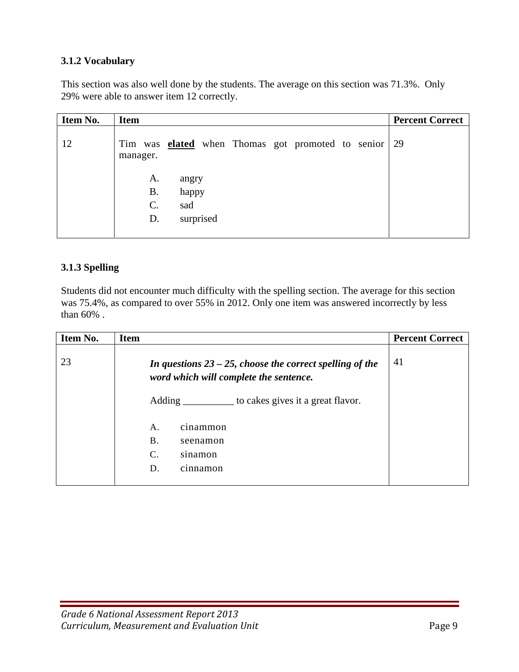### **3.1.2 Vocabulary**

This section was also well done by the students. The average on this section was 71.3%. Only 29% were able to answer item 12 correctly.

| Item No. | <b>Item</b>                                                          | <b>Percent Correct</b> |
|----------|----------------------------------------------------------------------|------------------------|
| 12       | Tim was <b>elated</b> when Thomas got promoted to senior<br>manager. | 29                     |
|          | A.<br>angry<br><b>B.</b><br>happy<br>C.<br>sad                       |                        |
|          | surprised<br>D.                                                      |                        |

## **3.1.3 Spelling**

Students did not encounter much difficulty with the spelling section. The average for this section was 75.4%, as compared to over 55% in 2012. Only one item was answered incorrectly by less than 60% .

| Item No. | <b>Item</b>                                                                                           | <b>Percent Correct</b> |
|----------|-------------------------------------------------------------------------------------------------------|------------------------|
| 23       | In questions $23 - 25$ , choose the correct spelling of the<br>word which will complete the sentence. | 41                     |
|          | to cakes gives it a great flavor.                                                                     |                        |
|          | Α.<br>cinammon                                                                                        |                        |
|          | <b>B.</b><br>seenamon                                                                                 |                        |
|          | $\mathcal{C}$ .<br>sinamon                                                                            |                        |
|          | D.<br>cinnamon                                                                                        |                        |
|          |                                                                                                       |                        |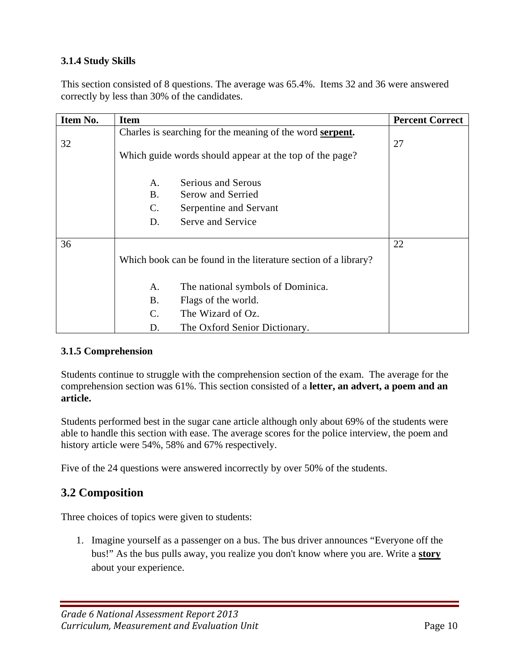## **3.1.4 Study Skills**

This section consisted of 8 questions. The average was 65.4%. Items 32 and 36 were answered correctly by less than 30% of the candidates.

| Item No. | <b>Item</b>    |                                                                   | <b>Percent Correct</b> |
|----------|----------------|-------------------------------------------------------------------|------------------------|
| 32       |                | Charles is searching for the meaning of the word <b>serpent</b> . | 27                     |
|          |                | Which guide words should appear at the top of the page?           |                        |
|          | A.             | <b>Serious and Serous</b>                                         |                        |
|          | <b>B.</b>      | Serow and Serried                                                 |                        |
|          | $\mathbf{C}$ . | Serpentine and Servant                                            |                        |
|          | D.             | Serve and Service                                                 |                        |
| 36       |                |                                                                   | 22                     |
|          |                | Which book can be found in the literature section of a library?   |                        |
|          | A.             | The national symbols of Dominica.                                 |                        |
|          | <b>B.</b>      | Flags of the world.                                               |                        |
|          | $C_{\cdot}$    | The Wizard of Oz.                                                 |                        |
|          | D.             | The Oxford Senior Dictionary.                                     |                        |

## **3.1.5 Comprehension**

Students continue to struggle with the comprehension section of the exam. The average for the comprehension section was 61%. This section consisted of a **letter, an advert, a poem and an article.** 

Students performed best in the sugar cane article although only about 69% of the students were able to handle this section with ease. The average scores for the police interview, the poem and history article were 54%, 58% and 67% respectively.

Five of the 24 questions were answered incorrectly by over 50% of the students.

## **3.2 Composition**

Three choices of topics were given to students:

1. Imagine yourself as a passenger on a bus. The bus driver announces "Everyone off the bus!" As the bus pulls away, you realize you don't know where you are. Write a **story** about your experience.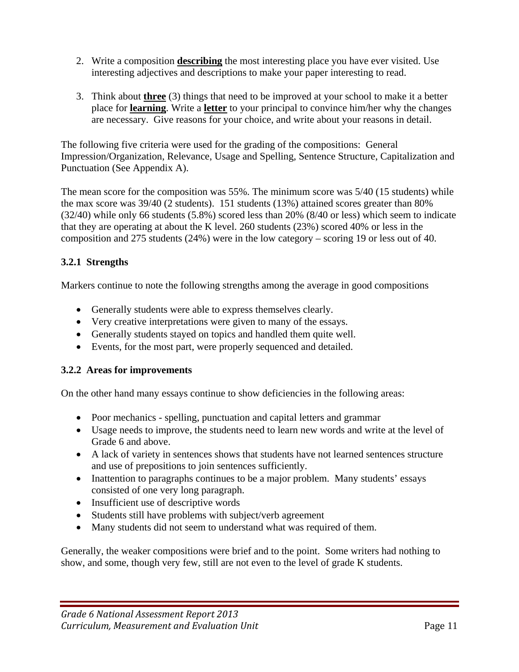- 2. Write a composition **describing** the most interesting place you have ever visited. Use interesting adjectives and descriptions to make your paper interesting to read.
- 3. Think about **three** (3) things that need to be improved at your school to make it a better place for **learning**. Write a **letter** to your principal to convince him/her why the changes are necessary. Give reasons for your choice, and write about your reasons in detail.

The following five criteria were used for the grading of the compositions: General Impression/Organization, Relevance, Usage and Spelling, Sentence Structure, Capitalization and Punctuation (See Appendix A).

The mean score for the composition was 55%. The minimum score was 5/40 (15 students) while the max score was 39/40 (2 students). 151 students (13%) attained scores greater than 80% (32/40) while only 66 students (5.8%) scored less than 20% (8/40 or less) which seem to indicate that they are operating at about the K level. 260 students (23%) scored 40% or less in the composition and 275 students (24%) were in the low category – scoring 19 or less out of 40.

## **3.2.1 Strengths**

Markers continue to note the following strengths among the average in good compositions

- Generally students were able to express themselves clearly.
- Very creative interpretations were given to many of the essays.
- Generally students stayed on topics and handled them quite well.
- Events, for the most part, were properly sequenced and detailed.

## **3.2.2 Areas for improvements**

On the other hand many essays continue to show deficiencies in the following areas:

- Poor mechanics spelling, punctuation and capital letters and grammar
- Usage needs to improve, the students need to learn new words and write at the level of Grade 6 and above.
- A lack of variety in sentences shows that students have not learned sentences structure and use of prepositions to join sentences sufficiently.
- Inattention to paragraphs continues to be a major problem. Many students' essays consisted of one very long paragraph.
- Insufficient use of descriptive words
- Students still have problems with subject/verb agreement
- Many students did not seem to understand what was required of them.

Generally, the weaker compositions were brief and to the point. Some writers had nothing to show, and some, though very few, still are not even to the level of grade K students.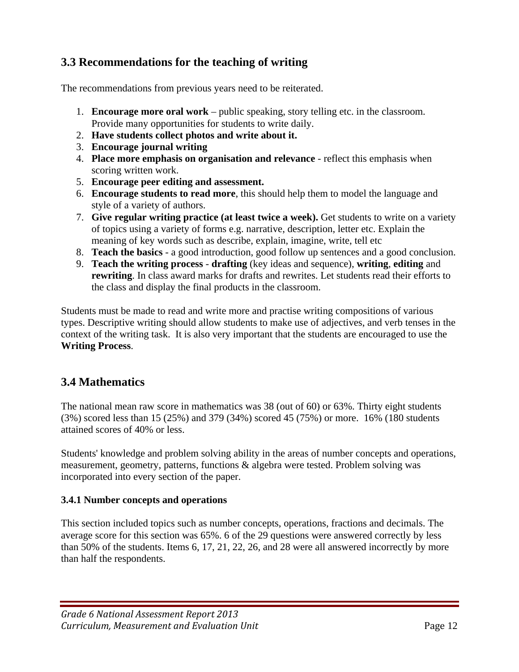# **3.3 Recommendations for the teaching of writing**

The recommendations from previous years need to be reiterated.

- 1. **Encourage more oral work** public speaking, story telling etc. in the classroom. Provide many opportunities for students to write daily.
- 2. **Have students collect photos and write about it.**
- 3. **Encourage journal writing**
- 4. **Place more emphasis on organisation and relevance** reflect this emphasis when scoring written work.
- 5. **Encourage peer editing and assessment.**
- 6. **Encourage students to read more**, this should help them to model the language and style of a variety of authors.
- 7. **Give regular writing practice (at least twice a week).** Get students to write on a variety of topics using a variety of forms e.g. narrative, description, letter etc. Explain the meaning of key words such as describe, explain, imagine, write, tell etc
- 8. **Teach the basics** a good introduction, good follow up sentences and a good conclusion.
- 9. **Teach the writing process drafting** (key ideas and sequence), **writing**, **editing** and **rewriting**. In class award marks for drafts and rewrites. Let students read their efforts to the class and display the final products in the classroom.

Students must be made to read and write more and practise writing compositions of various types. Descriptive writing should allow students to make use of adjectives, and verb tenses in the context of the writing task. It is also very important that the students are encouraged to use the **Writing Process**.

# **3.4 Mathematics**

The national mean raw score in mathematics was 38 (out of 60) or 63%. Thirty eight students (3%) scored less than 15 (25%) and 379 (34%) scored 45 (75%) or more. 16% (180 students attained scores of 40% or less.

Students' knowledge and problem solving ability in the areas of number concepts and operations, measurement, geometry, patterns, functions & algebra were tested. Problem solving was incorporated into every section of the paper.

## **3.4.1 Number concepts and operations**

This section included topics such as number concepts, operations, fractions and decimals. The average score for this section was 65%. 6 of the 29 questions were answered correctly by less than 50% of the students. Items 6, 17, 21, 22, 26, and 28 were all answered incorrectly by more than half the respondents.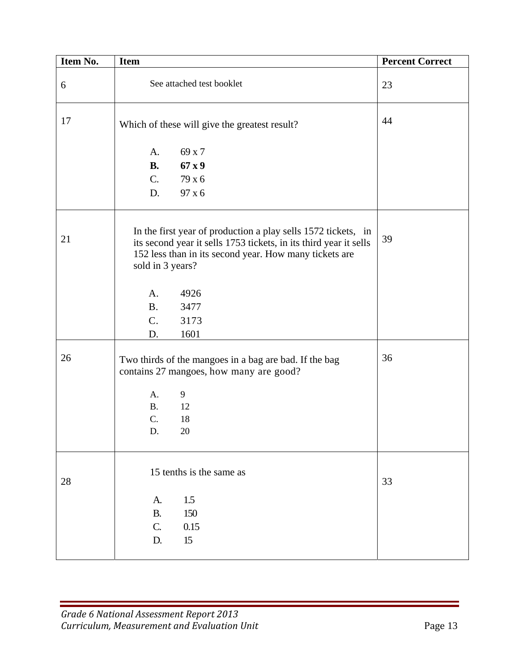| Item No. | Item                                                                                                                                                                                                             | <b>Percent Correct</b> |
|----------|------------------------------------------------------------------------------------------------------------------------------------------------------------------------------------------------------------------|------------------------|
| 6        | See attached test booklet                                                                                                                                                                                        | 23                     |
| 17       | Which of these will give the greatest result?                                                                                                                                                                    | 44                     |
|          | 69 x 7<br>A.                                                                                                                                                                                                     |                        |
|          | <b>B.</b><br>67x9                                                                                                                                                                                                |                        |
|          | C.<br>79 x 6                                                                                                                                                                                                     |                        |
|          | 97 x 6<br>D.                                                                                                                                                                                                     |                        |
| 21       | In the first year of production a play sells 1572 tickets, in<br>its second year it sells 1753 tickets, in its third year it sells<br>152 less than in its second year. How many tickets are<br>sold in 3 years? | 39                     |
|          | A.<br>4926                                                                                                                                                                                                       |                        |
|          | <b>B.</b><br>3477                                                                                                                                                                                                |                        |
|          | C.<br>3173                                                                                                                                                                                                       |                        |
|          | 1601<br>D.                                                                                                                                                                                                       |                        |
| 26       | Two thirds of the mangoes in a bag are bad. If the bag<br>contains 27 mangoes, how many are good?                                                                                                                | 36                     |
|          | 9<br>A.                                                                                                                                                                                                          |                        |
|          | <b>B.</b><br>12                                                                                                                                                                                                  |                        |
|          | $\overline{C}$ .<br>18                                                                                                                                                                                           |                        |
|          | 20<br>D.                                                                                                                                                                                                         |                        |
| 28       | 15 tenths is the same as                                                                                                                                                                                         | 33                     |
|          | 1.5<br>A.                                                                                                                                                                                                        |                        |
|          | 150<br><b>B.</b>                                                                                                                                                                                                 |                        |
|          | $\mathbf{C}$ .<br>$0.15\,$                                                                                                                                                                                       |                        |
|          | 15<br>D.                                                                                                                                                                                                         |                        |
|          |                                                                                                                                                                                                                  |                        |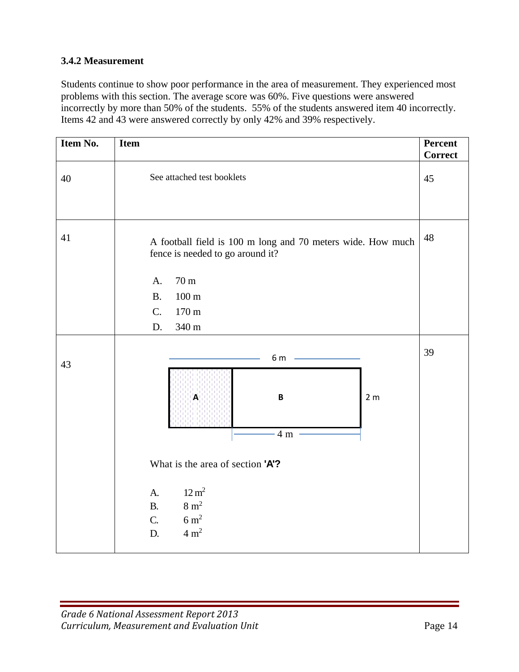### **3.4.2 Measurement**

Students continue to show poor performance in the area of measurement. They experienced most problems with this section. The average score was 60%. Five questions were answered incorrectly by more than 50% of the students. 55% of the students answered item 40 incorrectly. Items 42 and 43 were answered correctly by only 42% and 39% respectively.

| Item No. | <b>Item</b>                                                                                                                                  | Percent<br><b>Correct</b> |
|----------|----------------------------------------------------------------------------------------------------------------------------------------------|---------------------------|
| $40\,$   | See attached test booklets                                                                                                                   | 45                        |
| 41       | A football field is 100 m long and 70 meters wide. How much<br>fence is needed to go around it?                                              | 48                        |
|          | 70 <sub>m</sub><br>A.<br>$100 \text{ m}$<br><b>B.</b><br>$C_{\cdot}$<br>170 m<br>340 m<br>D.                                                 |                           |
| 43       | 6 m<br>A<br>B<br>2 <sub>m</sub><br>4 <sub>m</sub>                                                                                            | 39                        |
|          | What is the area of section 'A'?<br>$12 \text{ m}^2$<br>A.<br>$8 \text{ m}^2$<br><b>B.</b><br>$6 \text{ m}^2$<br>C.<br>$4 \text{ m}^2$<br>D. |                           |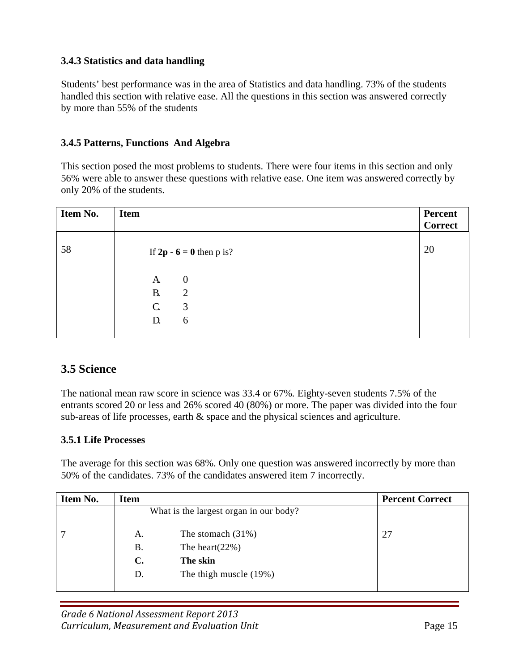#### **3.4.3 Statistics and data handling**

Students' best performance was in the area of Statistics and data handling. 73% of the students handled this section with relative ease. All the questions in this section was answered correctly by more than 55% of the students

#### **3.4.5 Patterns, Functions And Algebra**

This section posed the most problems to students. There were four items in this section and only 56% were able to answer these questions with relative ease. One item was answered correctly by only 20% of the students.

| <b>Item No.</b> | <b>Item</b>        |                                    | Percent<br><b>Correct</b> |
|-----------------|--------------------|------------------------------------|---------------------------|
| 58              |                    | If $2p - 6 = 0$ then p is?         | 20                        |
|                 | A.<br><b>B.</b>    | $\boldsymbol{0}$<br>$\overline{2}$ |                           |
|                 | $\mathsf{C}$<br>D. | 3<br>6                             |                           |
|                 |                    |                                    |                           |

## **3.5 Science**

The national mean raw score in science was 33.4 or 67%*.* Eighty-seven students 7.5% of the entrants scored 20 or less and 26% scored 40 (80%) or more. The paper was divided into the four sub-areas of life processes, earth & space and the physical sciences and agriculture.

#### **3.5.1 Life Processes**

The average for this section was 68%. Only one question was answered incorrectly by more than 50% of the candidates. 73% of the candidates answered item 7 incorrectly.

| Item No. | Item           |                                        | <b>Percent Correct</b> |
|----------|----------------|----------------------------------------|------------------------|
|          |                | What is the largest organ in our body? |                        |
|          | А.             | The stomach $(31\%)$                   | 27                     |
|          | Β.             | The heart $(22%)$                      |                        |
|          | $\mathbf{C}$ . | The skin                               |                        |
|          | D.             | The thigh muscle (19%)                 |                        |
|          |                |                                        |                        |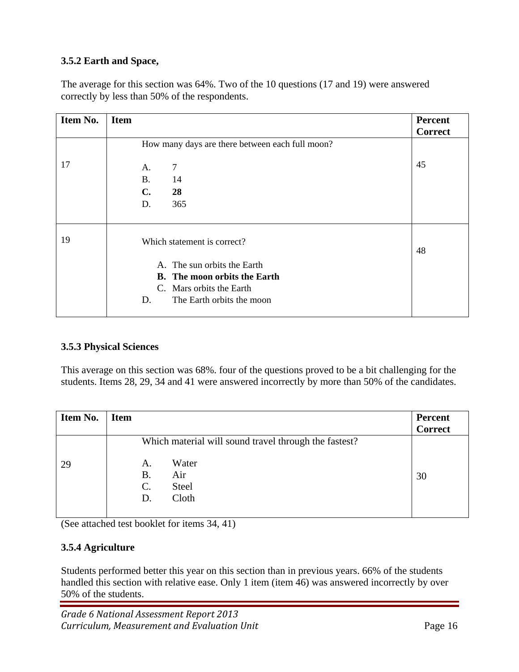## **3.5.2 Earth and Space,**

The average for this section was 64%. Two of the 10 questions (17 and 19) were answered correctly by less than 50% of the respondents.

| Item No. | <b>Item</b>                                     | <b>Percent</b><br><b>Correct</b> |
|----------|-------------------------------------------------|----------------------------------|
|          | How many days are there between each full moon? |                                  |
| 17       | 7<br>A.                                         | 45                               |
|          | <b>B.</b><br>14                                 |                                  |
|          | 28<br>C.                                        |                                  |
|          | 365<br>D.                                       |                                  |
| 19       | Which statement is correct?                     | 48                               |
|          | A. The sun orbits the Earth                     |                                  |
|          | <b>B.</b> The moon orbits the Earth             |                                  |
|          | C. Mars orbits the Earth                        |                                  |
|          | The Earth orbits the moon<br>D.                 |                                  |
|          |                                                 |                                  |

## **3.5.3 Physical Sciences**

This average on this section was 68%. four of the questions proved to be a bit challenging for the students. Items 28, 29, 34 and 41 were answered incorrectly by more than 50% of the candidates.

| Item No. | <b>Item</b> |                                          |                                                                                                | <b>Percent</b><br><b>Correct</b> |
|----------|-------------|------------------------------------------|------------------------------------------------------------------------------------------------|----------------------------------|
| 29       |             | А.<br><b>B.</b><br>$\mathcal{C}$ .<br>D. | Which material will sound travel through the fastest?<br>Water<br>Air<br><b>Steel</b><br>Cloth | 30                               |

(See attached test booklet for items 34, 41)

## **3.5.4 Agriculture**

Students performed better this year on this section than in previous years. 66% of the students handled this section with relative ease. Only 1 item (item 46) was answered incorrectly by over 50% of the students.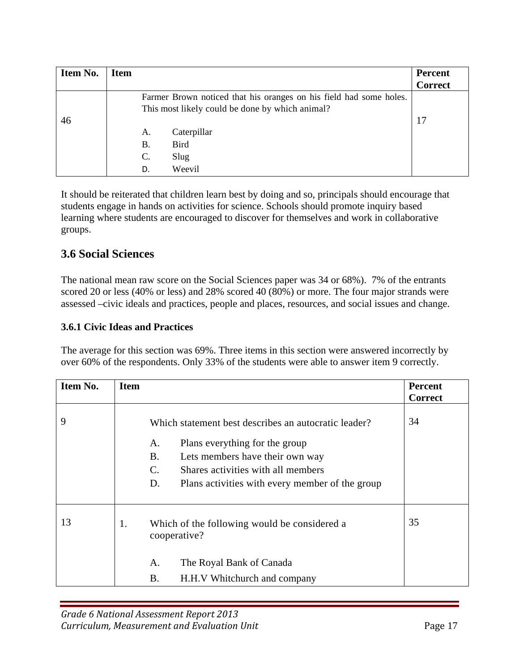| Item No. | <b>Item</b> |                                                                                                                       | <b>Percent</b><br><b>Correct</b> |
|----------|-------------|-----------------------------------------------------------------------------------------------------------------------|----------------------------------|
| 46       |             | Farmer Brown noticed that his oranges on his field had some holes.<br>This most likely could be done by which animal? | 17                               |
|          |             | Caterpillar<br>А.<br>Bird<br>Β.<br>C.<br>Slug<br>Weevil<br>D.                                                         |                                  |

It should be reiterated that children learn best by doing and so, principals should encourage that students engage in hands on activities for science. Schools should promote inquiry based learning where students are encouraged to discover for themselves and work in collaborative groups.

## **3.6 Social Sciences**

The national mean raw score on the Social Sciences paper was 34 or 68%). 7% of the entrants scored 20 or less (40% or less) and 28% scored 40 (80%) or more. The four major strands were assessed –civic ideals and practices, people and places, resources, and social issues and change.

#### **3.6.1 Civic Ideas and Practices**

The average for this section was 69%. Three items in this section were answered incorrectly by over 60% of the respondents. Only 33% of the students were able to answer item 9 correctly.

| Item No. | <b>Item</b>                              |                                                                                                                                                                                                                    | <b>Percent</b> |
|----------|------------------------------------------|--------------------------------------------------------------------------------------------------------------------------------------------------------------------------------------------------------------------|----------------|
|          |                                          |                                                                                                                                                                                                                    | <b>Correct</b> |
| 9        | A.<br><b>B.</b><br>$\mathcal{C}$ .<br>D. | Which statement best describes an autocratic leader?<br>Plans everything for the group<br>Lets members have their own way<br>Shares activities with all members<br>Plans activities with every member of the group | 34             |
|          |                                          |                                                                                                                                                                                                                    |                |
| 13       | 1.<br>cooperative?                       | Which of the following would be considered a                                                                                                                                                                       | 35             |
|          | A.                                       | The Royal Bank of Canada                                                                                                                                                                                           |                |
|          | Β.                                       | H.H.V Whitchurch and company                                                                                                                                                                                       |                |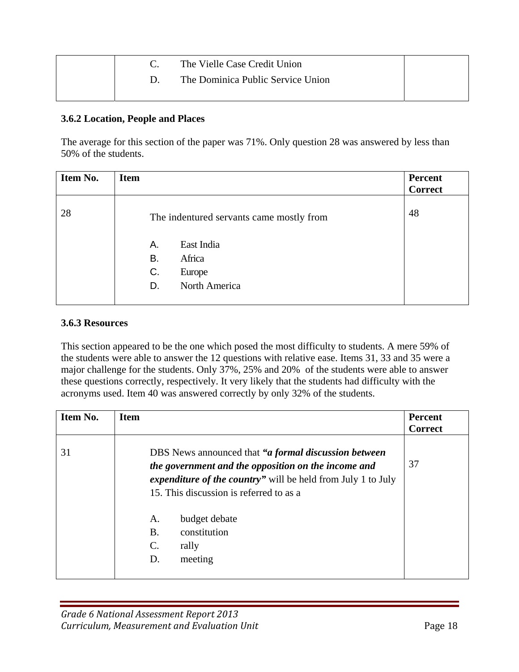|  | The Vielle Case Credit Union      |  |
|--|-----------------------------------|--|
|  | The Dominica Public Service Union |  |
|  |                                   |  |

#### **3.6.2 Location, People and Places**

The average for this section of the paper was 71%. Only question 28 was answered by less than 50% of the students.

| Item No. | <b>Item</b>                                                             | <b>Percent</b> |
|----------|-------------------------------------------------------------------------|----------------|
|          |                                                                         | <b>Correct</b> |
| 28       | The indentured servants came mostly from                                | 48             |
|          | East India<br>А.<br>Africa<br>B.<br>C.<br>Europe<br>North America<br>D. |                |
|          |                                                                         |                |

#### **3.6.3 Resources**

This section appeared to be the one which posed the most difficulty to students. A mere 59% of the students were able to answer the 12 questions with relative ease. Items 31, 33 and 35 were a major challenge for the students. Only 37%, 25% and 20% of the students were able to answer these questions correctly, respectively. It very likely that the students had difficulty with the acronyms used. Item 40 was answered correctly by only 32% of the students.

| Item No. | <b>Item</b>                                                                                                                                                                                                                                                                                                        | <b>Percent</b><br><b>Correct</b> |
|----------|--------------------------------------------------------------------------------------------------------------------------------------------------------------------------------------------------------------------------------------------------------------------------------------------------------------------|----------------------------------|
| 31       | DBS News announced that "a formal discussion between<br>the government and the opposition on the income and<br><i>expenditure of the country</i> " will be held from July 1 to July<br>15. This discussion is referred to as a<br>budget debate<br>Α.<br>constitution<br><b>B.</b><br>C.<br>rally<br>meeting<br>D. | 37                               |
|          |                                                                                                                                                                                                                                                                                                                    |                                  |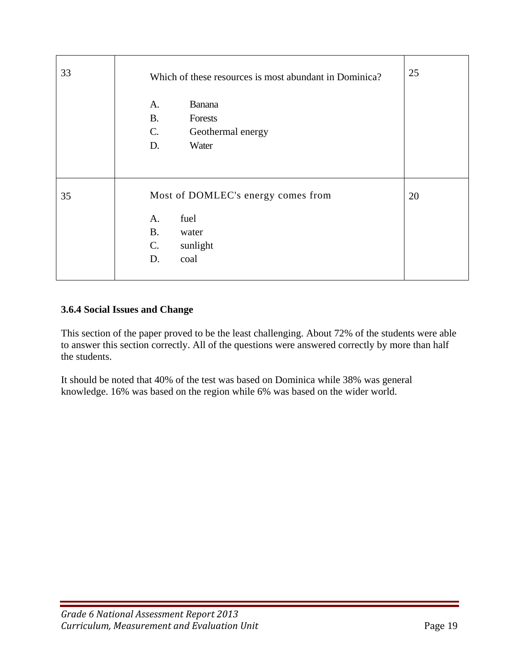| 33 | Which of these resources is most abundant in Dominica?                                                          | 25 |
|----|-----------------------------------------------------------------------------------------------------------------|----|
|    | Banana<br>A.<br><b>B.</b><br>Forests<br>C.<br>Geothermal energy<br>D.<br>Water                                  |    |
| 35 | Most of DOMLEC's energy comes from<br>fuel<br>A.<br><b>B.</b><br>water<br>$C_{\cdot}$<br>sunlight<br>coal<br>D. | 20 |

## **3.6.4 Social Issues and Change**

This section of the paper proved to be the least challenging. About 72% of the students were able to answer this section correctly. All of the questions were answered correctly by more than half the students.

It should be noted that 40% of the test was based on Dominica while 38% was general knowledge. 16% was based on the region while 6% was based on the wider world.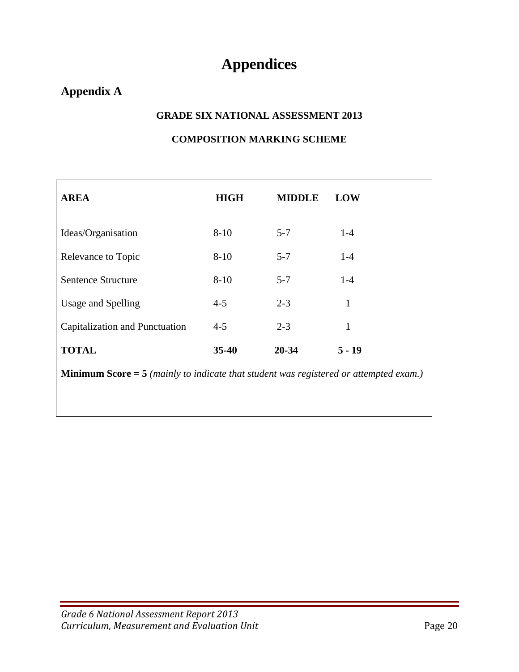# **Appendices**

# **Appendix A**

#### **GRADE SIX NATIONAL ASSESSMENT 2013**

### **COMPOSITION MARKING SCHEME**

| <b>AREA</b>                                                                                    | <b>HIGH</b> | <b>MIDDLE</b> | <b>LOW</b> |  |  |  |
|------------------------------------------------------------------------------------------------|-------------|---------------|------------|--|--|--|
| Ideas/Organisation                                                                             | $8 - 10$    | $5 - 7$       | $1 - 4$    |  |  |  |
| Relevance to Topic                                                                             | $8 - 10$    | $5 - 7$       | $1-4$      |  |  |  |
| Sentence Structure                                                                             | $8 - 10$    | $5 - 7$       | $1-4$      |  |  |  |
| Usage and Spelling                                                                             | $4 - 5$     | $2 - 3$       | 1          |  |  |  |
| Capitalization and Punctuation                                                                 | $4 - 5$     | $2 - 3$       | 1          |  |  |  |
| <b>TOTAL</b>                                                                                   | $35 - 40$   | 20-34         | $5 - 19$   |  |  |  |
| <b>Minimum Score</b> $=$ 5 (mainly to indicate that student was registered or attempted exam.) |             |               |            |  |  |  |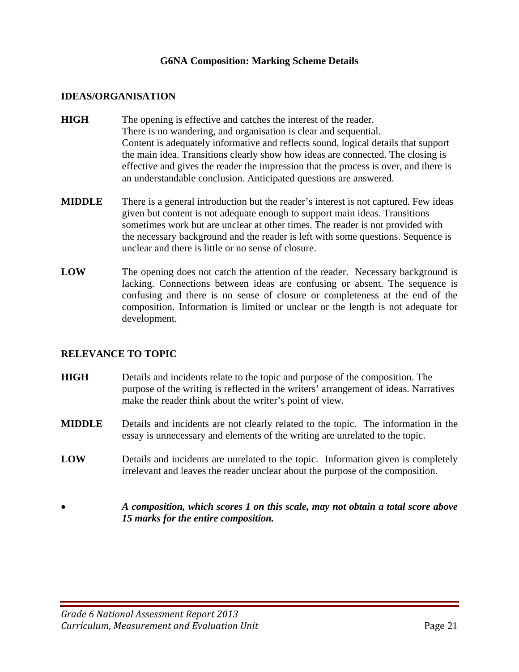#### **G6NA Composition: Marking Scheme Details**

#### **IDEAS/ORGANISATION**

- **HIGH** The opening is effective and catches the interest of the reader. There is no wandering, and organisation is clear and sequential. Content is adequately informative and reflects sound, logical details that support the main idea. Transitions clearly show how ideas are connected. The closing is effective and gives the reader the impression that the process is over, and there is an understandable conclusion. Anticipated questions are answered.
- **MIDDLE** There is a general introduction but the reader's interest is not captured. Few ideas given but content is not adequate enough to support main ideas. Transitions sometimes work but are unclear at other times. The reader is not provided with the necessary background and the reader is left with some questions. Sequence is unclear and there is little or no sense of closure.
- **LOW** The opening does not catch the attention of the reader. Necessary background is lacking. Connections between ideas are confusing or absent. The sequence is confusing and there is no sense of closure or completeness at the end of the composition. Information is limited or unclear or the length is not adequate for development.

#### **RELEVANCE TO TOPIC**

- **HIGH** Details and incidents relate to the topic and purpose of the composition. The purpose of the writing is reflected in the writers' arrangement of ideas. Narratives make the reader think about the writer's point of view.
- **MIDDLE** Details and incidents are not clearly related to the topic. The information in the essay is unnecessary and elements of the writing are unrelated to the topic.
- **LOW** Details and incidents are unrelated to the topic. Information given is completely irrelevant and leaves the reader unclear about the purpose of the composition.
- *A composition, which scores 1 on this scale, may not obtain a total score above 15 marks for the entire composition.*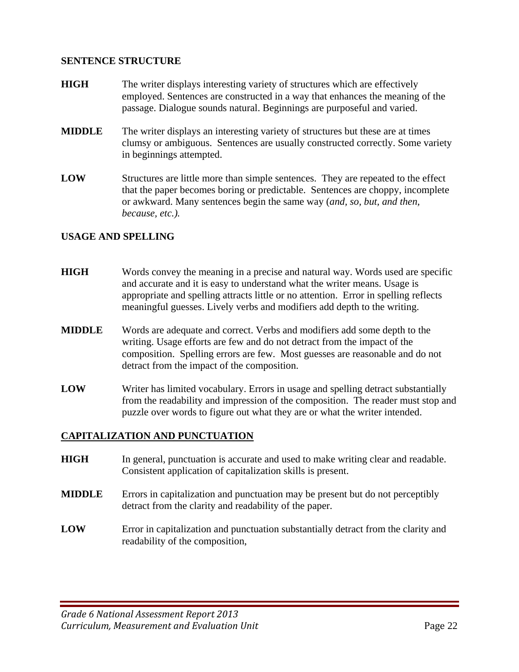#### **SENTENCE STRUCTURE**

- **HIGH** The writer displays interesting variety of structures which are effectively employed. Sentences are constructed in a way that enhances the meaning of the passage. Dialogue sounds natural. Beginnings are purposeful and varied.
- **MIDDLE** The writer displays an interesting variety of structures but these are at times clumsy or ambiguous. Sentences are usually constructed correctly. Some variety in beginnings attempted.
- **LOW** Structures are little more than simple sentences. They are repeated to the effect that the paper becomes boring or predictable. Sentences are choppy, incomplete or awkward. Many sentences begin the same way (*and, so, but, and then, because, etc.).*

#### **USAGE AND SPELLING**

- **HIGH** Words convey the meaning in a precise and natural way. Words used are specific and accurate and it is easy to understand what the writer means. Usage is appropriate and spelling attracts little or no attention. Error in spelling reflects meaningful guesses. Lively verbs and modifiers add depth to the writing.
- **MIDDLE** Words are adequate and correct. Verbs and modifiers add some depth to the writing. Usage efforts are few and do not detract from the impact of the composition. Spelling errors are few. Most guesses are reasonable and do not detract from the impact of the composition.
- **LOW** Writer has limited vocabulary. Errors in usage and spelling detract substantially from the readability and impression of the composition. The reader must stop and puzzle over words to figure out what they are or what the writer intended.

#### **CAPITALIZATION AND PUNCTUATION**

- **HIGH** In general, punctuation is accurate and used to make writing clear and readable. Consistent application of capitalization skills is present.
- **MIDDLE** Errors in capitalization and punctuation may be present but do not perceptibly detract from the clarity and readability of the paper.
- **LOW** Error in capitalization and punctuation substantially detract from the clarity and readability of the composition,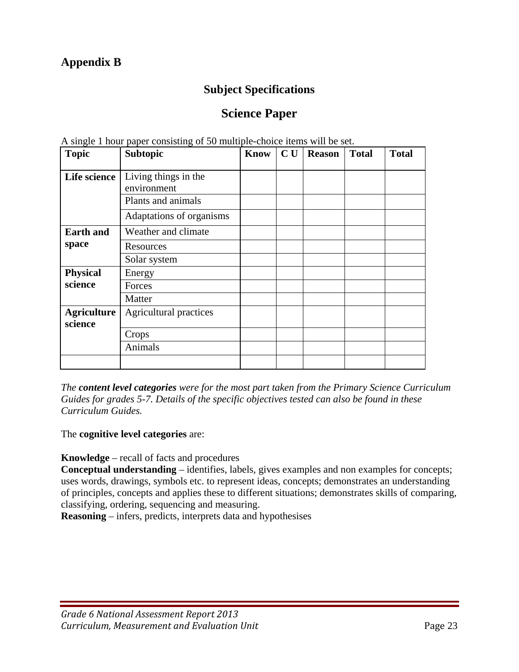# **Appendix B**

## **Subject Specifications**

# **Science Paper**

| <b>Topic</b>                  | The single T now puper consisting of co many<br><b>Subtopic</b> | Know | CU | <b>Reason</b> | <b>Total</b> | <b>Total</b> |
|-------------------------------|-----------------------------------------------------------------|------|----|---------------|--------------|--------------|
| Life science                  | Living things in the<br>environment<br>Plants and animals       |      |    |               |              |              |
|                               | Adaptations of organisms                                        |      |    |               |              |              |
| <b>Earth and</b>              | Weather and climate                                             |      |    |               |              |              |
| space                         | Resources                                                       |      |    |               |              |              |
|                               | Solar system                                                    |      |    |               |              |              |
| <b>Physical</b>               | Energy                                                          |      |    |               |              |              |
| science                       | Forces                                                          |      |    |               |              |              |
|                               | Matter                                                          |      |    |               |              |              |
| <b>Agriculture</b><br>science | Agricultural practices                                          |      |    |               |              |              |
|                               | Crops                                                           |      |    |               |              |              |
|                               | Animals                                                         |      |    |               |              |              |
|                               |                                                                 |      |    |               |              |              |

A single 1 hour paper consisting of 50 multiple-choice items will be set.

*The content level categories were for the most part taken from the Primary Science Curriculum Guides for grades 5-7. Details of the specific objectives tested can also be found in these Curriculum Guides.* 

The **cognitive level categories** are:

**Knowledge** – recall of facts and procedures

**Conceptual understanding** – identifies, labels, gives examples and non examples for concepts; uses words, drawings, symbols etc. to represent ideas, concepts; demonstrates an understanding of principles, concepts and applies these to different situations; demonstrates skills of comparing, classifying, ordering, sequencing and measuring.

**Reasoning** – infers, predicts, interprets data and hypothesises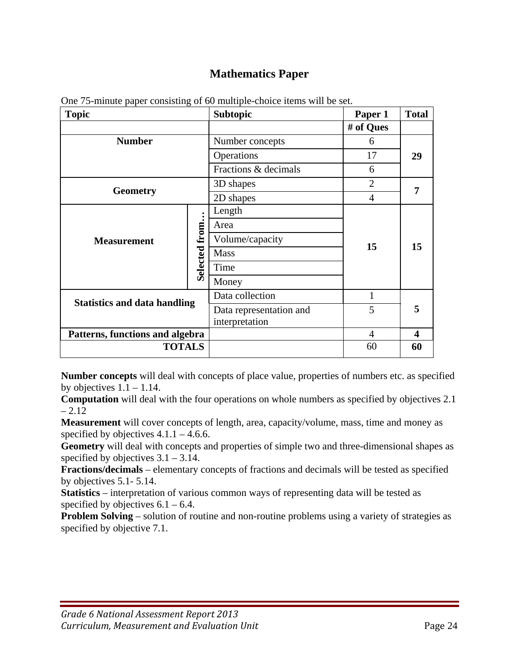# **Mathematics Paper**

| <b>Topic</b>                        |               | <b>Subtopic</b>         | Paper 1   | <b>Total</b>     |
|-------------------------------------|---------------|-------------------------|-----------|------------------|
|                                     |               |                         | # of Ques |                  |
| <b>Number</b>                       |               | Number concepts         | 6         |                  |
|                                     |               | Operations              | 17        | 29               |
|                                     |               | Fractions & decimals    | 6         |                  |
|                                     |               | 3D shapes               | 2         |                  |
| <b>Geometry</b>                     |               | 2D shapes               | 4         | 7                |
|                                     |               | Length                  |           |                  |
|                                     |               | Area                    |           |                  |
| <b>Measurement</b>                  | Selected from | Volume/capacity         |           |                  |
|                                     |               | <b>Mass</b>             | 15        | 15               |
|                                     |               | Time                    |           |                  |
|                                     |               | Money                   |           |                  |
|                                     |               | Data collection         | 1         |                  |
| <b>Statistics and data handling</b> |               | Data representation and | 5         | 5                |
|                                     |               | interpretation          |           |                  |
| Patterns, functions and algebra     |               |                         | 4         | $\boldsymbol{4}$ |
| <b>TOTALS</b>                       |               |                         | 60        | 60               |

One 75-minute paper consisting of 60 multiple-choice items will be set.

**Number concepts** will deal with concepts of place value, properties of numbers etc. as specified by objectives  $1.1 - 1.14$ .

**Computation** will deal with the four operations on whole numbers as specified by objectives 2.1  $-2.12$ 

**Measurement** will cover concepts of length, area, capacity/volume, mass, time and money as specified by objectives  $4.1.1 - 4.6.6$ .

**Geometry** will deal with concepts and properties of simple two and three-dimensional shapes as specified by objectives  $3.1 - 3.14$ .

**Fractions/decimals** – elementary concepts of fractions and decimals will be tested as specified by objectives 5.1- 5.14.

**Statistics** – interpretation of various common ways of representing data will be tested as specified by objectives  $6.1 - 6.4$ .

**Problem Solving** – solution of routine and non-routine problems using a variety of strategies as specified by objective 7.1.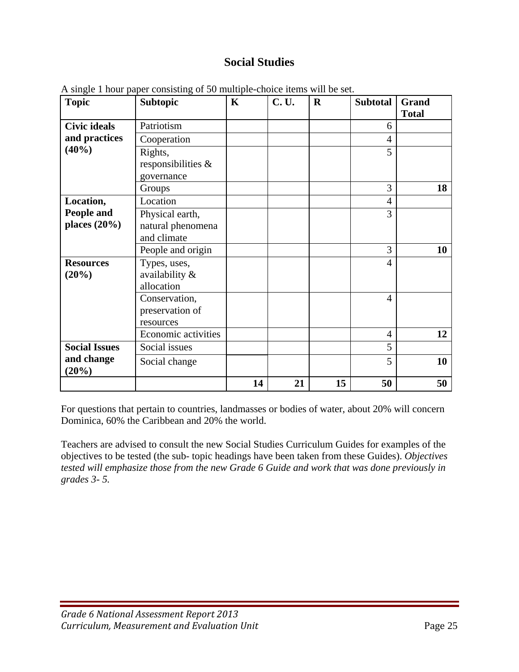# **Social Studies**

| <b>Topic</b>         | <b>Subtopic</b>     | $\mathbf K$ | <b>C.U.</b> | $\mathbf R$ | <b>Subtotal</b> | Grand        |
|----------------------|---------------------|-------------|-------------|-------------|-----------------|--------------|
|                      |                     |             |             |             |                 | <b>Total</b> |
| <b>Civic ideals</b>  | Patriotism          |             |             |             | 6               |              |
| and practices        | Cooperation         |             |             |             | $\overline{4}$  |              |
| (40%)                | Rights,             |             |             |             | 5               |              |
|                      | responsibilities &  |             |             |             |                 |              |
|                      | governance          |             |             |             |                 |              |
|                      | Groups              |             |             |             | 3               | 18           |
| Location,            | Location            |             |             |             | $\overline{4}$  |              |
| People and           | Physical earth,     |             |             |             | 3               |              |
| places $(20\%)$      | natural phenomena   |             |             |             |                 |              |
|                      | and climate         |             |             |             |                 |              |
|                      | People and origin   |             |             |             | 3               | 10           |
| <b>Resources</b>     | Types, uses,        |             |             |             | $\overline{4}$  |              |
| (20%)                | availability &      |             |             |             |                 |              |
|                      | allocation          |             |             |             |                 |              |
|                      | Conservation,       |             |             |             | $\overline{4}$  |              |
|                      | preservation of     |             |             |             |                 |              |
|                      | resources           |             |             |             |                 |              |
|                      | Economic activities |             |             |             | $\overline{4}$  | 12           |
| <b>Social Issues</b> | Social issues       |             |             |             | 5               |              |
| and change<br>(20%)  | Social change       |             |             |             | 5               | 10           |
|                      |                     | 14          | 21          | 15          | 50              | 50           |

A single 1 hour paper consisting of 50 multiple-choice items will be set.

For questions that pertain to countries, landmasses or bodies of water, about 20% will concern Dominica, 60% the Caribbean and 20% the world.

Teachers are advised to consult the new Social Studies Curriculum Guides for examples of the objectives to be tested (the sub- topic headings have been taken from these Guides). *Objectives tested will emphasize those from the new Grade 6 Guide and work that was done previously in grades 3- 5.*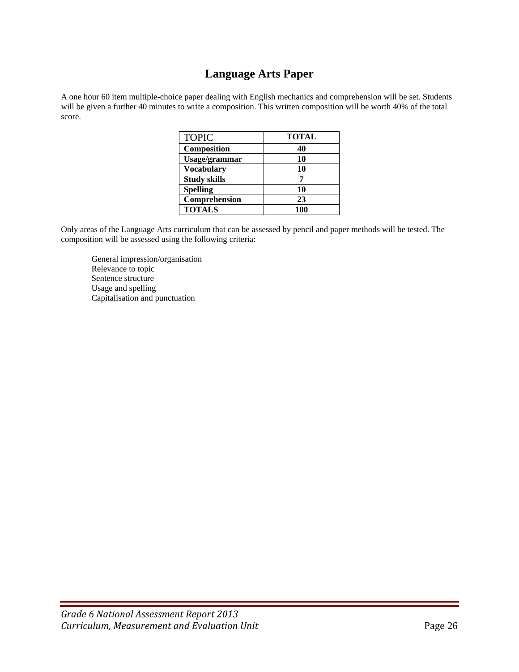## **Language Arts Paper**

A one hour 60 item multiple-choice paper dealing with English mechanics and comprehension will be set. Students will be given a further 40 minutes to write a composition. This written composition will be worth 40% of the total score.

| <b>TOPIC</b>        | <b>TOTAL</b> |
|---------------------|--------------|
| Composition         | 40           |
| Usage/grammar       | 10           |
| <b>Vocabulary</b>   | 10           |
| <b>Study skills</b> |              |
| <b>Spelling</b>     | 10           |
| Comprehension       | 23           |
| <b>TOTALS</b>       | 100          |

Only areas of the Language Arts curriculum that can be assessed by pencil and paper methods will be tested. The composition will be assessed using the following criteria:

 General impression/organisation Relevance to topic Sentence structure Usage and spelling Capitalisation and punctuation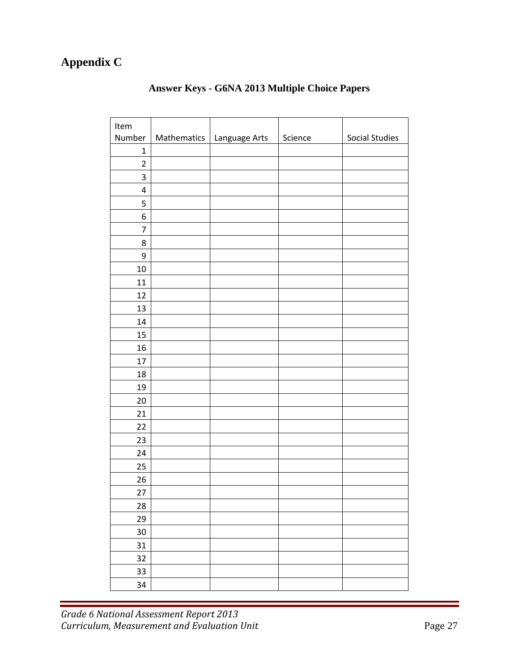# **Appendix C**

| Item           |                             |         |                       |
|----------------|-----------------------------|---------|-----------------------|
| Number         | Mathematics   Language Arts | Science | <b>Social Studies</b> |
| $\mathbf 1$    |                             |         |                       |
| $\overline{c}$ |                             |         |                       |
| 3              |                             |         |                       |
| $\pmb{4}$      |                             |         |                       |
| 5              |                             |         |                       |
| 6              |                             |         |                       |
| 7              |                             |         |                       |
| 8              |                             |         |                       |
| 9              |                             |         |                       |
| 10             |                             |         |                       |
| 11             |                             |         |                       |
| 12             |                             |         |                       |
| 13             |                             |         |                       |
| 14             |                             |         |                       |
| 15             |                             |         |                       |
| 16             |                             |         |                       |
| 17             |                             |         |                       |
| 18             |                             |         |                       |
| 19             |                             |         |                       |
| 20             |                             |         |                       |
| 21             |                             |         |                       |
| 22             |                             |         |                       |
| 23             |                             |         |                       |
| 24             |                             |         |                       |
| 25             |                             |         |                       |
| $26\,$         |                             |         |                       |
| 27             |                             |         |                       |
| 28             |                             |         |                       |
| 29             |                             |         |                       |
| 30             |                             |         |                       |
| 31             |                             |         |                       |
| 32             |                             |         |                       |
| 33             |                             |         |                       |
| 34             |                             |         |                       |

## **Answer Keys - G6NA 2013 Multiple Choice Papers**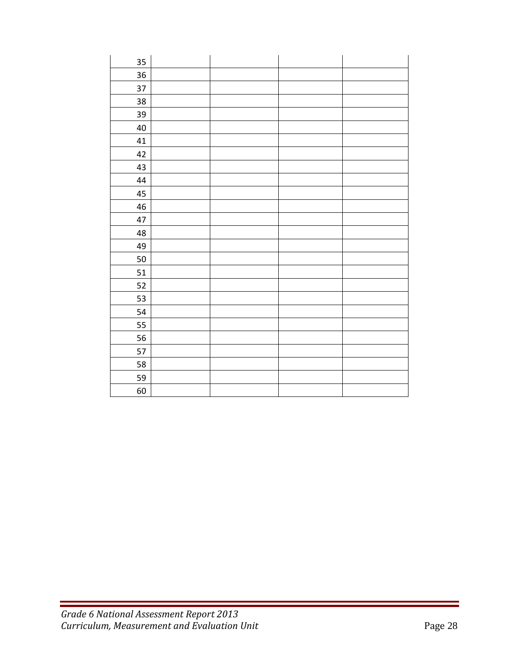| 35 |  |  |
|----|--|--|
| 36 |  |  |
| 37 |  |  |
| 38 |  |  |
| 39 |  |  |
| 40 |  |  |
| 41 |  |  |
| 42 |  |  |
| 43 |  |  |
| 44 |  |  |
| 45 |  |  |
| 46 |  |  |
| 47 |  |  |
| 48 |  |  |
| 49 |  |  |
| 50 |  |  |
| 51 |  |  |
| 52 |  |  |
| 53 |  |  |
| 54 |  |  |
| 55 |  |  |
| 56 |  |  |
| 57 |  |  |
| 58 |  |  |
| 59 |  |  |
| 60 |  |  |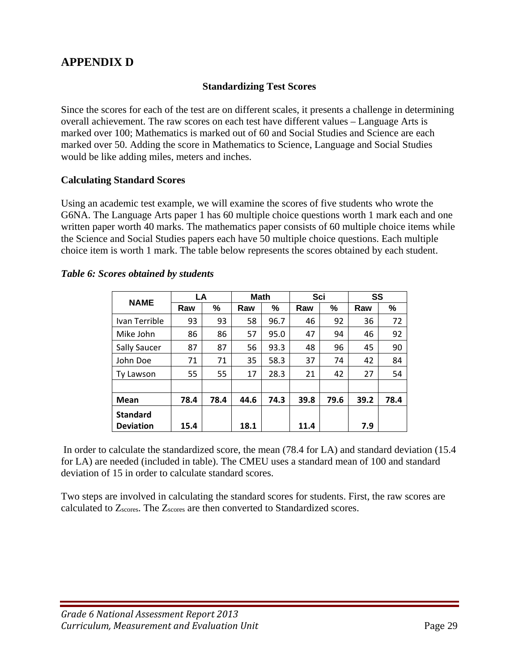# **APPENDIX D**

#### **Standardizing Test Scores**

Since the scores for each of the test are on different scales, it presents a challenge in determining overall achievement. The raw scores on each test have different values – Language Arts is marked over 100; Mathematics is marked out of 60 and Social Studies and Science are each marked over 50. Adding the score in Mathematics to Science, Language and Social Studies would be like adding miles, meters and inches.

#### **Calculating Standard Scores**

Using an academic test example, we will examine the scores of five students who wrote the G6NA. The Language Arts paper 1 has 60 multiple choice questions worth 1 mark each and one written paper worth 40 marks. The mathematics paper consists of 60 multiple choice items while the Science and Social Studies papers each have 50 multiple choice questions. Each multiple choice item is worth 1 mark. The table below represents the scores obtained by each student.

| <b>NAME</b>      | LA   |      | <b>Math</b> |      | Sci  |      | SS   |      |
|------------------|------|------|-------------|------|------|------|------|------|
|                  | Raw  | %    | Raw         | %    | Raw  | %    | Raw  | %    |
| Ivan Terrible    | 93   | 93   | 58          | 96.7 | 46   | 92   | 36   | 72   |
| Mike John        | 86   | 86   | 57          | 95.0 | 47   | 94   | 46   | 92   |
| Sally Saucer     | 87   | 87   | 56          | 93.3 | 48   | 96   | 45   | 90   |
| John Doe         | 71   | 71   | 35          | 58.3 | 37   | 74   | 42   | 84   |
| Ty Lawson        | 55   | 55   | 17          | 28.3 | 21   | 42   | 27   | 54   |
|                  |      |      |             |      |      |      |      |      |
| <b>Mean</b>      | 78.4 | 78.4 | 44.6        | 74.3 | 39.8 | 79.6 | 39.2 | 78.4 |
| <b>Standard</b>  |      |      |             |      |      |      |      |      |
| <b>Deviation</b> | 15.4 |      | 18.1        |      | 11.4 |      | 7.9  |      |

#### *Table 6: Scores obtained by students*

 In order to calculate the standardized score, the mean (78.4 for LA) and standard deviation (15.4 for LA) are needed (included in table). The CMEU uses a standard mean of 100 and standard deviation of 15 in order to calculate standard scores.

Two steps are involved in calculating the standard scores for students. First, the raw scores are calculated to Zscores. The Zscores are then converted to Standardized scores.